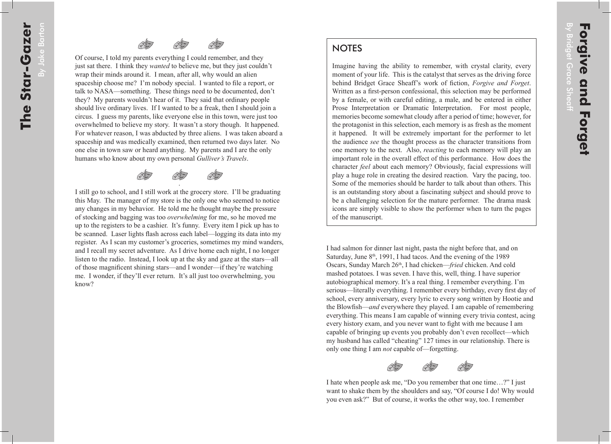## **NOTES**

Imagine having the ability to remember, with crystal clarity, every moment of your life. This is the catalyst that serves as the driving force behind Bridget Grace Sheaff's work of fiction, *Forgive and Forget*. Written as a first-person confessional, this selection may be performed by a female, or with careful editing, a male, and be entered in either Prose Interpretation or Dramatic Interpretation. For most people, memories become somewhat cloudy after a period of time; however, for the protagonist in this selection, each memory is as fresh as the moment it happened. It will be extremely important for the performer to let the audience *see* the thought process as the character transitions from one memory to the next. Also, *reacting* to each memory will play an important role in the overall effect of this performance. How does the character *feel* about each memory? Obviously, facial expressions will play a huge role in creating the desired reaction. Vary the pacing, too. Some of the memories should be harder to talk about than others. This is an outstanding story about a fascinating subject and should prove to be a challenging selection for the mature performer. The drama mask icons are simply visible to show the performer when to turn the pages of the manuscript.

I had salmon for dinner last night, pasta the night before that, and on Saturday, June  $8<sup>th</sup>$ , 1991, I had tacos. And the evening of the 1989 Oscars, Sunday March 26<sup>th</sup>, I had chicken—*fried* chicken. And cold mashed potatoes. I was seven. I have this, well, thing. I have superior autobiographical memory. It's a real thing. I remember everything. I'm serious—literally everything. I remember every birthday, every first day of school, every anniversary, every lyric to every song written by Hootie and the Blowfish—*and* everywhere they played. I am capable of remembering everything. This means I am capable of winning every trivia contest, acing every history exam, and you never want to fight with me because I am capable of bringing up events you probably don't even recollect—which my husband has called "cheating" 127 times in our relationship. There is only one thing I am *not* capable of—forgetting.



I hate when people ask me, "Do you remember that one time…?" I just want to shake them by the shoulders and say, "Of course I do! Why would you even ask?" But of course, it works the other way, too. I remember